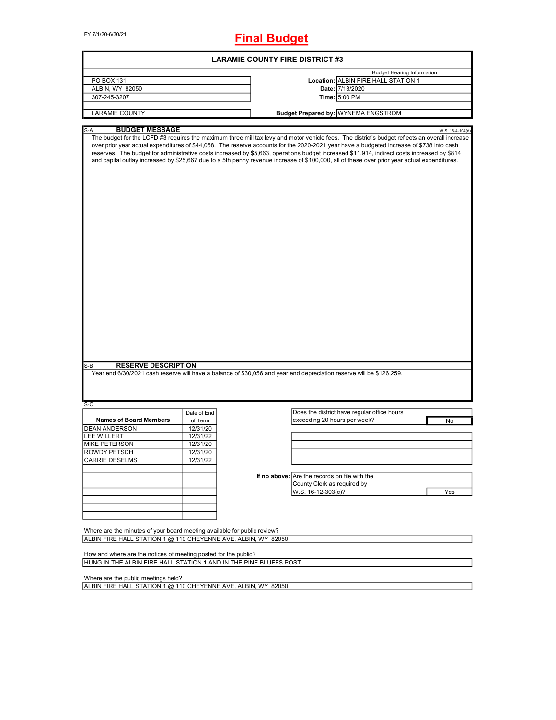FY 7/1/20-6/30/21

# **Final Budget**

|                                                                          |             | <b>LARAMIE COUNTY FIRE DISTRICT #3</b>                                                                                                                                                                                                                                                                                                                                                                                                                                                                                                                                                                        |
|--------------------------------------------------------------------------|-------------|---------------------------------------------------------------------------------------------------------------------------------------------------------------------------------------------------------------------------------------------------------------------------------------------------------------------------------------------------------------------------------------------------------------------------------------------------------------------------------------------------------------------------------------------------------------------------------------------------------------|
|                                                                          |             | <b>Budget Hearing Information</b>                                                                                                                                                                                                                                                                                                                                                                                                                                                                                                                                                                             |
| PO BOX 131                                                               |             | Location: ALBIN FIRE HALL STATION 1                                                                                                                                                                                                                                                                                                                                                                                                                                                                                                                                                                           |
| ALBIN, WY 82050                                                          |             | Date: 7/13/2020                                                                                                                                                                                                                                                                                                                                                                                                                                                                                                                                                                                               |
| 307-245-3207                                                             |             | Time: 5:00 PM                                                                                                                                                                                                                                                                                                                                                                                                                                                                                                                                                                                                 |
|                                                                          |             |                                                                                                                                                                                                                                                                                                                                                                                                                                                                                                                                                                                                               |
| <b>LARAMIE COUNTY</b>                                                    |             | <b>Budget Prepared by: WYNEMA ENGSTROM</b>                                                                                                                                                                                                                                                                                                                                                                                                                                                                                                                                                                    |
| <b>BUDGET MESSAGE</b><br>S-A                                             |             |                                                                                                                                                                                                                                                                                                                                                                                                                                                                                                                                                                                                               |
|                                                                          |             | W.S. 16-4-104(d)<br>The budget for the LCFD #3 requires the maximum three mill tax levy and motor vehicle fees. The district's budget reflects an overall increase<br>over prior year actual expenditures of \$44,058. The reserve accounts for the 2020-2021 year have a budgeted increase of \$738 into cash<br>reserves. The budget for administrative costs increased by \$5,663, operations budget increased \$11,914, indirect costs increased by \$814<br>and capital outlay increased by \$25,667 due to a 5th penny revenue increase of \$100,000, all of these over prior year actual expenditures. |
|                                                                          |             |                                                                                                                                                                                                                                                                                                                                                                                                                                                                                                                                                                                                               |
| <b>RESERVE DESCRIPTION</b><br>S-B                                        |             | Year end 6/30/2021 cash reserve will have a balance of \$30,056 and year end depreciation reserve will be \$126,259.                                                                                                                                                                                                                                                                                                                                                                                                                                                                                          |
| $S-C$                                                                    |             |                                                                                                                                                                                                                                                                                                                                                                                                                                                                                                                                                                                                               |
|                                                                          | Date of End | Does the district have regular office hours                                                                                                                                                                                                                                                                                                                                                                                                                                                                                                                                                                   |
| <b>Names of Board Members</b>                                            | of Term     | exceeding 20 hours per week?<br>No                                                                                                                                                                                                                                                                                                                                                                                                                                                                                                                                                                            |
| <b>DEAN ANDERSON</b>                                                     | 12/31/20    |                                                                                                                                                                                                                                                                                                                                                                                                                                                                                                                                                                                                               |
| <b>LEE WILLERT</b>                                                       | 12/31/22    |                                                                                                                                                                                                                                                                                                                                                                                                                                                                                                                                                                                                               |
| MIKE PETERSON                                                            | 12/31/20    |                                                                                                                                                                                                                                                                                                                                                                                                                                                                                                                                                                                                               |
| ROWDY PETSCH                                                             | 12/31/20    |                                                                                                                                                                                                                                                                                                                                                                                                                                                                                                                                                                                                               |
|                                                                          |             |                                                                                                                                                                                                                                                                                                                                                                                                                                                                                                                                                                                                               |
| <b>CARRIE DESELMS</b>                                                    | 12/31/22    |                                                                                                                                                                                                                                                                                                                                                                                                                                                                                                                                                                                                               |
|                                                                          |             |                                                                                                                                                                                                                                                                                                                                                                                                                                                                                                                                                                                                               |
|                                                                          |             | If no above: Are the records on file with the                                                                                                                                                                                                                                                                                                                                                                                                                                                                                                                                                                 |
|                                                                          |             | County Clerk as required by                                                                                                                                                                                                                                                                                                                                                                                                                                                                                                                                                                                   |
|                                                                          |             |                                                                                                                                                                                                                                                                                                                                                                                                                                                                                                                                                                                                               |
|                                                                          |             | W.S. 16-12-303(c)?<br>Yes                                                                                                                                                                                                                                                                                                                                                                                                                                                                                                                                                                                     |
|                                                                          |             |                                                                                                                                                                                                                                                                                                                                                                                                                                                                                                                                                                                                               |
|                                                                          |             |                                                                                                                                                                                                                                                                                                                                                                                                                                                                                                                                                                                                               |
|                                                                          |             |                                                                                                                                                                                                                                                                                                                                                                                                                                                                                                                                                                                                               |
|                                                                          |             |                                                                                                                                                                                                                                                                                                                                                                                                                                                                                                                                                                                                               |
|                                                                          |             |                                                                                                                                                                                                                                                                                                                                                                                                                                                                                                                                                                                                               |
| Where are the minutes of your board meeting available for public review? |             |                                                                                                                                                                                                                                                                                                                                                                                                                                                                                                                                                                                                               |
| ALBIN FIRE HALL STATION 1 @ 110 CHEYENNE AVE, ALBIN, WY 82050            |             |                                                                                                                                                                                                                                                                                                                                                                                                                                                                                                                                                                                                               |
|                                                                          |             |                                                                                                                                                                                                                                                                                                                                                                                                                                                                                                                                                                                                               |
|                                                                          |             |                                                                                                                                                                                                                                                                                                                                                                                                                                                                                                                                                                                                               |
| How and where are the notices of meeting posted for the public?          |             |                                                                                                                                                                                                                                                                                                                                                                                                                                                                                                                                                                                                               |
| HUNG IN THE ALBIN FIRE HALL STATION 1 AND IN THE PINE BLUFFS POST        |             |                                                                                                                                                                                                                                                                                                                                                                                                                                                                                                                                                                                                               |
|                                                                          |             |                                                                                                                                                                                                                                                                                                                                                                                                                                                                                                                                                                                                               |
|                                                                          |             |                                                                                                                                                                                                                                                                                                                                                                                                                                                                                                                                                                                                               |
| Where are the public meetings held?                                      |             |                                                                                                                                                                                                                                                                                                                                                                                                                                                                                                                                                                                                               |
| ALBIN FIRE HALL STATION 1 @ 110 CHEYENNE AVE, ALBIN, WY 82050            |             |                                                                                                                                                                                                                                                                                                                                                                                                                                                                                                                                                                                                               |
|                                                                          |             |                                                                                                                                                                                                                                                                                                                                                                                                                                                                                                                                                                                                               |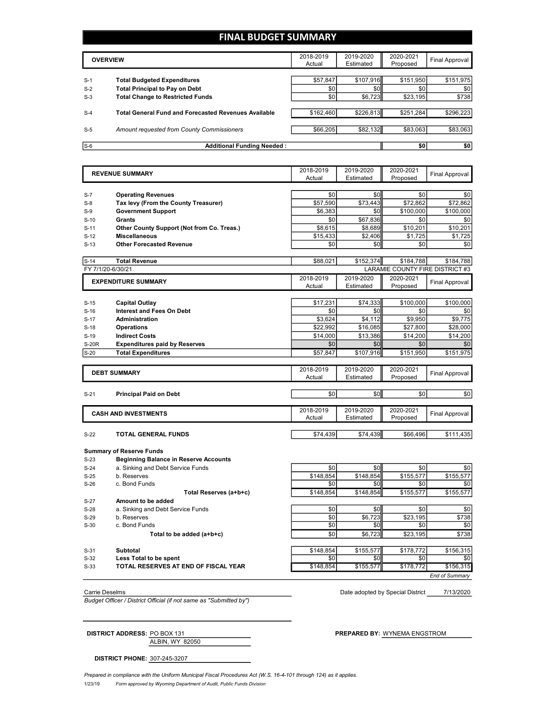### **FINAL BUDGET SUMMARY**

|                | <b>OVERVIEW</b>                                                             |                 | 2019-2020<br>Estimated | 2020-2021<br>Proposed | Final Approval   |
|----------------|-----------------------------------------------------------------------------|-----------------|------------------------|-----------------------|------------------|
|                |                                                                             |                 | \$107.916              |                       |                  |
| $S-1$<br>$S-2$ | <b>Total Budgeted Expenditures</b><br><b>Total Principal to Pay on Debt</b> | \$57,847<br>\$0 | \$0                    | \$151,950<br>\$0      | \$151,975<br>\$0 |
| $S-3$          | <b>Total Change to Restricted Funds</b>                                     | \$0             | \$6,723                | \$23,195              | \$738            |
| $S-4$          | <b>Total General Fund and Forecasted Revenues Available</b>                 | \$162,460       | \$226,813              | \$251,284             | \$296,223        |
|                |                                                                             |                 |                        |                       |                  |
| $S-5$          | Amount requested from County Commissioners                                  | \$66,205        | \$82,132               | \$83,063              | \$83,063         |
|                |                                                                             |                 |                        |                       |                  |
| $S-6$          | <b>Additional Funding Needed:</b>                                           |                 |                        | \$0                   | \$0              |

| Actual<br>Estimated<br>Proposed<br>\$0<br>\$0<br>\$0<br>\$0<br><b>Operating Revenues</b><br>Tax levy (From the County Treasurer)<br>\$57,590<br>\$73,443<br>\$72,862<br>\$72,862<br>\$0<br><b>Government Support</b><br>\$6,383<br>\$100,000<br>\$100,000<br>\$0<br>\$67,836<br>\$0<br>Grants<br>\$0<br>\$10,201<br>Other County Support (Not from Co. Treas.)<br>\$8,615<br>\$8,689<br>\$10,201<br><b>Miscellaneous</b><br>\$15.433<br>\$1.725<br>\$1,725<br>\$2,406<br><b>Other Forecasted Revenue</b><br>\$0<br>\$0<br>\$0<br>\$0<br><b>Total Revenue</b><br>\$88,021<br>\$152,374<br>\$184,788<br>\$184,788<br>LARAMIE COUNTY FIRE DISTRICT #3<br>2018-2019<br>2019-2020<br>2020-2021<br><b>EXPENDITURE SUMMARY</b><br>Final Approval<br>Actual<br>Estimated<br>Proposed<br>\$17,231<br>\$74,333<br>\$100.000<br>\$100,000<br><b>Capital Outlay</b><br><b>Interest and Fees On Debt</b><br>\$0<br>\$0<br>\$0<br>\$0<br>\$3,624<br>\$4,112<br>\$9,950<br>\$9,775<br><b>Administration</b><br>\$22,992<br>\$16,085<br>\$27,800<br>\$28,000<br><b>Operations</b><br>\$14,000<br>\$13,386<br>\$14,200<br>\$14,200<br><b>Indirect Costs</b><br>\$0<br>\$0<br>\$0<br>\$0<br><b>Expenditures paid by Reserves</b><br>\$107,916<br>\$151,950<br><b>Total Expenditures</b><br>\$57,847<br>\$151,975<br>2018-2019<br>2019-2020<br>2020-2021<br><b>DEBT SUMMARY</b><br><b>Final Approval</b><br>Actual<br>Estimated<br>Proposed<br>\$0<br>\$0<br><b>Principal Paid on Debt</b><br>\$0<br>\$0<br>2018-2019<br>2019-2020<br>2020-2021<br><b>CASH AND INVESTMENTS</b><br><b>Final Approval</b><br>Actual<br>Estimated<br>Proposed<br>\$74,439<br>\$74,439<br>\$111,435<br>TOTAL GENERAL FUNDS<br>\$66,496<br><b>Beginning Balance in Reserve Accounts</b><br>\$0<br>\$0<br>\$0<br>a. Sinking and Debt Service Funds<br>\$0<br>\$148,854<br>b. Reserves<br>\$148,854<br>\$155,577<br>\$155.577<br>\$0<br>\$0<br>c. Bond Funds<br>\$0<br>\$0<br>\$148,854<br>\$155,577<br>\$155,577<br>Total Reserves (a+b+c)<br>\$148,854<br>Amount to be added<br>\$0<br>\$0<br>a. Sinking and Debt Service Funds<br>\$0<br>\$0<br>\$6.723<br>\$738<br>\$0<br>\$23.195<br>b. Reserves<br>\$0<br>\$0<br>c. Bond Funds<br>\$0<br>\$0<br>\$6,723<br>\$23,195<br>\$738<br>\$0<br>Total to be added (a+b+c) | $S-7$<br>$S-8$<br>$S-9$<br>$S-10$<br>$S-11$<br>$S-12$<br>$S-13$<br>FY 7/1/20-6/30/21<br>$S-17$<br>$S-18$<br><b>S-20R</b><br>$S-20$<br>$S-21$<br>$S-22$<br><b>Summary of Reserve Funds</b><br>$S-23$<br>$S-24$<br>$S-25$<br>$S-26$<br>$S-27$<br>$S-28$<br><b>Subtotal</b><br>\$148,854<br>\$155,577<br>\$178,772<br>Less Total to be spent<br>\$0<br>\$0<br>\$0 |        | <b>REVENUE SUMMARY</b>               | 2018-2019 | 2019-2020 | 2020-2021 | Final Approval |
|------------------------------------------------------------------------------------------------------------------------------------------------------------------------------------------------------------------------------------------------------------------------------------------------------------------------------------------------------------------------------------------------------------------------------------------------------------------------------------------------------------------------------------------------------------------------------------------------------------------------------------------------------------------------------------------------------------------------------------------------------------------------------------------------------------------------------------------------------------------------------------------------------------------------------------------------------------------------------------------------------------------------------------------------------------------------------------------------------------------------------------------------------------------------------------------------------------------------------------------------------------------------------------------------------------------------------------------------------------------------------------------------------------------------------------------------------------------------------------------------------------------------------------------------------------------------------------------------------------------------------------------------------------------------------------------------------------------------------------------------------------------------------------------------------------------------------------------------------------------------------------------------------------------------------------------------------------------------------------------------------------------------------------------------------------------------------------------------------------------------------------------------------------------------------------------------------------------------------------------------------------------------------|----------------------------------------------------------------------------------------------------------------------------------------------------------------------------------------------------------------------------------------------------------------------------------------------------------------------------------------------------------------|--------|--------------------------------------|-----------|-----------|-----------|----------------|
|                                                                                                                                                                                                                                                                                                                                                                                                                                                                                                                                                                                                                                                                                                                                                                                                                                                                                                                                                                                                                                                                                                                                                                                                                                                                                                                                                                                                                                                                                                                                                                                                                                                                                                                                                                                                                                                                                                                                                                                                                                                                                                                                                                                                                                                                              |                                                                                                                                                                                                                                                                                                                                                                |        |                                      |           |           |           |                |
|                                                                                                                                                                                                                                                                                                                                                                                                                                                                                                                                                                                                                                                                                                                                                                                                                                                                                                                                                                                                                                                                                                                                                                                                                                                                                                                                                                                                                                                                                                                                                                                                                                                                                                                                                                                                                                                                                                                                                                                                                                                                                                                                                                                                                                                                              |                                                                                                                                                                                                                                                                                                                                                                |        |                                      |           |           |           |                |
|                                                                                                                                                                                                                                                                                                                                                                                                                                                                                                                                                                                                                                                                                                                                                                                                                                                                                                                                                                                                                                                                                                                                                                                                                                                                                                                                                                                                                                                                                                                                                                                                                                                                                                                                                                                                                                                                                                                                                                                                                                                                                                                                                                                                                                                                              |                                                                                                                                                                                                                                                                                                                                                                |        |                                      |           |           |           |                |
|                                                                                                                                                                                                                                                                                                                                                                                                                                                                                                                                                                                                                                                                                                                                                                                                                                                                                                                                                                                                                                                                                                                                                                                                                                                                                                                                                                                                                                                                                                                                                                                                                                                                                                                                                                                                                                                                                                                                                                                                                                                                                                                                                                                                                                                                              |                                                                                                                                                                                                                                                                                                                                                                |        |                                      |           |           |           |                |
|                                                                                                                                                                                                                                                                                                                                                                                                                                                                                                                                                                                                                                                                                                                                                                                                                                                                                                                                                                                                                                                                                                                                                                                                                                                                                                                                                                                                                                                                                                                                                                                                                                                                                                                                                                                                                                                                                                                                                                                                                                                                                                                                                                                                                                                                              |                                                                                                                                                                                                                                                                                                                                                                |        |                                      |           |           |           |                |
|                                                                                                                                                                                                                                                                                                                                                                                                                                                                                                                                                                                                                                                                                                                                                                                                                                                                                                                                                                                                                                                                                                                                                                                                                                                                                                                                                                                                                                                                                                                                                                                                                                                                                                                                                                                                                                                                                                                                                                                                                                                                                                                                                                                                                                                                              |                                                                                                                                                                                                                                                                                                                                                                |        |                                      |           |           |           |                |
|                                                                                                                                                                                                                                                                                                                                                                                                                                                                                                                                                                                                                                                                                                                                                                                                                                                                                                                                                                                                                                                                                                                                                                                                                                                                                                                                                                                                                                                                                                                                                                                                                                                                                                                                                                                                                                                                                                                                                                                                                                                                                                                                                                                                                                                                              |                                                                                                                                                                                                                                                                                                                                                                |        |                                      |           |           |           |                |
|                                                                                                                                                                                                                                                                                                                                                                                                                                                                                                                                                                                                                                                                                                                                                                                                                                                                                                                                                                                                                                                                                                                                                                                                                                                                                                                                                                                                                                                                                                                                                                                                                                                                                                                                                                                                                                                                                                                                                                                                                                                                                                                                                                                                                                                                              |                                                                                                                                                                                                                                                                                                                                                                |        |                                      |           |           |           |                |
|                                                                                                                                                                                                                                                                                                                                                                                                                                                                                                                                                                                                                                                                                                                                                                                                                                                                                                                                                                                                                                                                                                                                                                                                                                                                                                                                                                                                                                                                                                                                                                                                                                                                                                                                                                                                                                                                                                                                                                                                                                                                                                                                                                                                                                                                              |                                                                                                                                                                                                                                                                                                                                                                |        |                                      |           |           |           |                |
|                                                                                                                                                                                                                                                                                                                                                                                                                                                                                                                                                                                                                                                                                                                                                                                                                                                                                                                                                                                                                                                                                                                                                                                                                                                                                                                                                                                                                                                                                                                                                                                                                                                                                                                                                                                                                                                                                                                                                                                                                                                                                                                                                                                                                                                                              |                                                                                                                                                                                                                                                                                                                                                                | $S-14$ |                                      |           |           |           |                |
|                                                                                                                                                                                                                                                                                                                                                                                                                                                                                                                                                                                                                                                                                                                                                                                                                                                                                                                                                                                                                                                                                                                                                                                                                                                                                                                                                                                                                                                                                                                                                                                                                                                                                                                                                                                                                                                                                                                                                                                                                                                                                                                                                                                                                                                                              |                                                                                                                                                                                                                                                                                                                                                                |        |                                      |           |           |           |                |
|                                                                                                                                                                                                                                                                                                                                                                                                                                                                                                                                                                                                                                                                                                                                                                                                                                                                                                                                                                                                                                                                                                                                                                                                                                                                                                                                                                                                                                                                                                                                                                                                                                                                                                                                                                                                                                                                                                                                                                                                                                                                                                                                                                                                                                                                              |                                                                                                                                                                                                                                                                                                                                                                |        |                                      |           |           |           |                |
|                                                                                                                                                                                                                                                                                                                                                                                                                                                                                                                                                                                                                                                                                                                                                                                                                                                                                                                                                                                                                                                                                                                                                                                                                                                                                                                                                                                                                                                                                                                                                                                                                                                                                                                                                                                                                                                                                                                                                                                                                                                                                                                                                                                                                                                                              |                                                                                                                                                                                                                                                                                                                                                                |        |                                      |           |           |           |                |
|                                                                                                                                                                                                                                                                                                                                                                                                                                                                                                                                                                                                                                                                                                                                                                                                                                                                                                                                                                                                                                                                                                                                                                                                                                                                                                                                                                                                                                                                                                                                                                                                                                                                                                                                                                                                                                                                                                                                                                                                                                                                                                                                                                                                                                                                              |                                                                                                                                                                                                                                                                                                                                                                |        |                                      |           |           |           |                |
|                                                                                                                                                                                                                                                                                                                                                                                                                                                                                                                                                                                                                                                                                                                                                                                                                                                                                                                                                                                                                                                                                                                                                                                                                                                                                                                                                                                                                                                                                                                                                                                                                                                                                                                                                                                                                                                                                                                                                                                                                                                                                                                                                                                                                                                                              |                                                                                                                                                                                                                                                                                                                                                                | $S-15$ |                                      |           |           |           |                |
|                                                                                                                                                                                                                                                                                                                                                                                                                                                                                                                                                                                                                                                                                                                                                                                                                                                                                                                                                                                                                                                                                                                                                                                                                                                                                                                                                                                                                                                                                                                                                                                                                                                                                                                                                                                                                                                                                                                                                                                                                                                                                                                                                                                                                                                                              |                                                                                                                                                                                                                                                                                                                                                                | $S-16$ |                                      |           |           |           |                |
|                                                                                                                                                                                                                                                                                                                                                                                                                                                                                                                                                                                                                                                                                                                                                                                                                                                                                                                                                                                                                                                                                                                                                                                                                                                                                                                                                                                                                                                                                                                                                                                                                                                                                                                                                                                                                                                                                                                                                                                                                                                                                                                                                                                                                                                                              |                                                                                                                                                                                                                                                                                                                                                                |        |                                      |           |           |           |                |
|                                                                                                                                                                                                                                                                                                                                                                                                                                                                                                                                                                                                                                                                                                                                                                                                                                                                                                                                                                                                                                                                                                                                                                                                                                                                                                                                                                                                                                                                                                                                                                                                                                                                                                                                                                                                                                                                                                                                                                                                                                                                                                                                                                                                                                                                              |                                                                                                                                                                                                                                                                                                                                                                |        |                                      |           |           |           |                |
|                                                                                                                                                                                                                                                                                                                                                                                                                                                                                                                                                                                                                                                                                                                                                                                                                                                                                                                                                                                                                                                                                                                                                                                                                                                                                                                                                                                                                                                                                                                                                                                                                                                                                                                                                                                                                                                                                                                                                                                                                                                                                                                                                                                                                                                                              |                                                                                                                                                                                                                                                                                                                                                                | $S-19$ |                                      |           |           |           |                |
|                                                                                                                                                                                                                                                                                                                                                                                                                                                                                                                                                                                                                                                                                                                                                                                                                                                                                                                                                                                                                                                                                                                                                                                                                                                                                                                                                                                                                                                                                                                                                                                                                                                                                                                                                                                                                                                                                                                                                                                                                                                                                                                                                                                                                                                                              |                                                                                                                                                                                                                                                                                                                                                                |        |                                      |           |           |           |                |
|                                                                                                                                                                                                                                                                                                                                                                                                                                                                                                                                                                                                                                                                                                                                                                                                                                                                                                                                                                                                                                                                                                                                                                                                                                                                                                                                                                                                                                                                                                                                                                                                                                                                                                                                                                                                                                                                                                                                                                                                                                                                                                                                                                                                                                                                              |                                                                                                                                                                                                                                                                                                                                                                |        |                                      |           |           |           |                |
|                                                                                                                                                                                                                                                                                                                                                                                                                                                                                                                                                                                                                                                                                                                                                                                                                                                                                                                                                                                                                                                                                                                                                                                                                                                                                                                                                                                                                                                                                                                                                                                                                                                                                                                                                                                                                                                                                                                                                                                                                                                                                                                                                                                                                                                                              |                                                                                                                                                                                                                                                                                                                                                                |        |                                      |           |           |           |                |
|                                                                                                                                                                                                                                                                                                                                                                                                                                                                                                                                                                                                                                                                                                                                                                                                                                                                                                                                                                                                                                                                                                                                                                                                                                                                                                                                                                                                                                                                                                                                                                                                                                                                                                                                                                                                                                                                                                                                                                                                                                                                                                                                                                                                                                                                              |                                                                                                                                                                                                                                                                                                                                                                |        |                                      |           |           |           |                |
|                                                                                                                                                                                                                                                                                                                                                                                                                                                                                                                                                                                                                                                                                                                                                                                                                                                                                                                                                                                                                                                                                                                                                                                                                                                                                                                                                                                                                                                                                                                                                                                                                                                                                                                                                                                                                                                                                                                                                                                                                                                                                                                                                                                                                                                                              |                                                                                                                                                                                                                                                                                                                                                                |        |                                      |           |           |           |                |
|                                                                                                                                                                                                                                                                                                                                                                                                                                                                                                                                                                                                                                                                                                                                                                                                                                                                                                                                                                                                                                                                                                                                                                                                                                                                                                                                                                                                                                                                                                                                                                                                                                                                                                                                                                                                                                                                                                                                                                                                                                                                                                                                                                                                                                                                              |                                                                                                                                                                                                                                                                                                                                                                |        |                                      |           |           |           |                |
|                                                                                                                                                                                                                                                                                                                                                                                                                                                                                                                                                                                                                                                                                                                                                                                                                                                                                                                                                                                                                                                                                                                                                                                                                                                                                                                                                                                                                                                                                                                                                                                                                                                                                                                                                                                                                                                                                                                                                                                                                                                                                                                                                                                                                                                                              |                                                                                                                                                                                                                                                                                                                                                                |        |                                      |           |           |           |                |
|                                                                                                                                                                                                                                                                                                                                                                                                                                                                                                                                                                                                                                                                                                                                                                                                                                                                                                                                                                                                                                                                                                                                                                                                                                                                                                                                                                                                                                                                                                                                                                                                                                                                                                                                                                                                                                                                                                                                                                                                                                                                                                                                                                                                                                                                              |                                                                                                                                                                                                                                                                                                                                                                |        |                                      |           |           |           |                |
|                                                                                                                                                                                                                                                                                                                                                                                                                                                                                                                                                                                                                                                                                                                                                                                                                                                                                                                                                                                                                                                                                                                                                                                                                                                                                                                                                                                                                                                                                                                                                                                                                                                                                                                                                                                                                                                                                                                                                                                                                                                                                                                                                                                                                                                                              |                                                                                                                                                                                                                                                                                                                                                                |        |                                      |           |           |           |                |
|                                                                                                                                                                                                                                                                                                                                                                                                                                                                                                                                                                                                                                                                                                                                                                                                                                                                                                                                                                                                                                                                                                                                                                                                                                                                                                                                                                                                                                                                                                                                                                                                                                                                                                                                                                                                                                                                                                                                                                                                                                                                                                                                                                                                                                                                              |                                                                                                                                                                                                                                                                                                                                                                |        |                                      |           |           |           |                |
|                                                                                                                                                                                                                                                                                                                                                                                                                                                                                                                                                                                                                                                                                                                                                                                                                                                                                                                                                                                                                                                                                                                                                                                                                                                                                                                                                                                                                                                                                                                                                                                                                                                                                                                                                                                                                                                                                                                                                                                                                                                                                                                                                                                                                                                                              |                                                                                                                                                                                                                                                                                                                                                                |        |                                      |           |           |           |                |
|                                                                                                                                                                                                                                                                                                                                                                                                                                                                                                                                                                                                                                                                                                                                                                                                                                                                                                                                                                                                                                                                                                                                                                                                                                                                                                                                                                                                                                                                                                                                                                                                                                                                                                                                                                                                                                                                                                                                                                                                                                                                                                                                                                                                                                                                              |                                                                                                                                                                                                                                                                                                                                                                |        |                                      |           |           |           |                |
|                                                                                                                                                                                                                                                                                                                                                                                                                                                                                                                                                                                                                                                                                                                                                                                                                                                                                                                                                                                                                                                                                                                                                                                                                                                                                                                                                                                                                                                                                                                                                                                                                                                                                                                                                                                                                                                                                                                                                                                                                                                                                                                                                                                                                                                                              |                                                                                                                                                                                                                                                                                                                                                                |        |                                      |           |           |           |                |
|                                                                                                                                                                                                                                                                                                                                                                                                                                                                                                                                                                                                                                                                                                                                                                                                                                                                                                                                                                                                                                                                                                                                                                                                                                                                                                                                                                                                                                                                                                                                                                                                                                                                                                                                                                                                                                                                                                                                                                                                                                                                                                                                                                                                                                                                              |                                                                                                                                                                                                                                                                                                                                                                |        |                                      |           |           |           |                |
|                                                                                                                                                                                                                                                                                                                                                                                                                                                                                                                                                                                                                                                                                                                                                                                                                                                                                                                                                                                                                                                                                                                                                                                                                                                                                                                                                                                                                                                                                                                                                                                                                                                                                                                                                                                                                                                                                                                                                                                                                                                                                                                                                                                                                                                                              |                                                                                                                                                                                                                                                                                                                                                                |        |                                      |           |           |           |                |
|                                                                                                                                                                                                                                                                                                                                                                                                                                                                                                                                                                                                                                                                                                                                                                                                                                                                                                                                                                                                                                                                                                                                                                                                                                                                                                                                                                                                                                                                                                                                                                                                                                                                                                                                                                                                                                                                                                                                                                                                                                                                                                                                                                                                                                                                              |                                                                                                                                                                                                                                                                                                                                                                |        |                                      |           |           |           |                |
|                                                                                                                                                                                                                                                                                                                                                                                                                                                                                                                                                                                                                                                                                                                                                                                                                                                                                                                                                                                                                                                                                                                                                                                                                                                                                                                                                                                                                                                                                                                                                                                                                                                                                                                                                                                                                                                                                                                                                                                                                                                                                                                                                                                                                                                                              |                                                                                                                                                                                                                                                                                                                                                                |        |                                      |           |           |           |                |
|                                                                                                                                                                                                                                                                                                                                                                                                                                                                                                                                                                                                                                                                                                                                                                                                                                                                                                                                                                                                                                                                                                                                                                                                                                                                                                                                                                                                                                                                                                                                                                                                                                                                                                                                                                                                                                                                                                                                                                                                                                                                                                                                                                                                                                                                              |                                                                                                                                                                                                                                                                                                                                                                |        |                                      |           |           |           |                |
|                                                                                                                                                                                                                                                                                                                                                                                                                                                                                                                                                                                                                                                                                                                                                                                                                                                                                                                                                                                                                                                                                                                                                                                                                                                                                                                                                                                                                                                                                                                                                                                                                                                                                                                                                                                                                                                                                                                                                                                                                                                                                                                                                                                                                                                                              |                                                                                                                                                                                                                                                                                                                                                                |        |                                      |           |           |           |                |
|                                                                                                                                                                                                                                                                                                                                                                                                                                                                                                                                                                                                                                                                                                                                                                                                                                                                                                                                                                                                                                                                                                                                                                                                                                                                                                                                                                                                                                                                                                                                                                                                                                                                                                                                                                                                                                                                                                                                                                                                                                                                                                                                                                                                                                                                              |                                                                                                                                                                                                                                                                                                                                                                | $S-29$ |                                      |           |           |           |                |
|                                                                                                                                                                                                                                                                                                                                                                                                                                                                                                                                                                                                                                                                                                                                                                                                                                                                                                                                                                                                                                                                                                                                                                                                                                                                                                                                                                                                                                                                                                                                                                                                                                                                                                                                                                                                                                                                                                                                                                                                                                                                                                                                                                                                                                                                              |                                                                                                                                                                                                                                                                                                                                                                | $S-30$ |                                      |           |           |           |                |
|                                                                                                                                                                                                                                                                                                                                                                                                                                                                                                                                                                                                                                                                                                                                                                                                                                                                                                                                                                                                                                                                                                                                                                                                                                                                                                                                                                                                                                                                                                                                                                                                                                                                                                                                                                                                                                                                                                                                                                                                                                                                                                                                                                                                                                                                              |                                                                                                                                                                                                                                                                                                                                                                |        |                                      |           |           |           |                |
|                                                                                                                                                                                                                                                                                                                                                                                                                                                                                                                                                                                                                                                                                                                                                                                                                                                                                                                                                                                                                                                                                                                                                                                                                                                                                                                                                                                                                                                                                                                                                                                                                                                                                                                                                                                                                                                                                                                                                                                                                                                                                                                                                                                                                                                                              |                                                                                                                                                                                                                                                                                                                                                                |        |                                      |           |           |           |                |
| \$156,315                                                                                                                                                                                                                                                                                                                                                                                                                                                                                                                                                                                                                                                                                                                                                                                                                                                                                                                                                                                                                                                                                                                                                                                                                                                                                                                                                                                                                                                                                                                                                                                                                                                                                                                                                                                                                                                                                                                                                                                                                                                                                                                                                                                                                                                                    |                                                                                                                                                                                                                                                                                                                                                                | $S-31$ |                                      |           |           |           |                |
|                                                                                                                                                                                                                                                                                                                                                                                                                                                                                                                                                                                                                                                                                                                                                                                                                                                                                                                                                                                                                                                                                                                                                                                                                                                                                                                                                                                                                                                                                                                                                                                                                                                                                                                                                                                                                                                                                                                                                                                                                                                                                                                                                                                                                                                                              |                                                                                                                                                                                                                                                                                                                                                                | $S-32$ |                                      |           |           |           | \$0            |
|                                                                                                                                                                                                                                                                                                                                                                                                                                                                                                                                                                                                                                                                                                                                                                                                                                                                                                                                                                                                                                                                                                                                                                                                                                                                                                                                                                                                                                                                                                                                                                                                                                                                                                                                                                                                                                                                                                                                                                                                                                                                                                                                                                                                                                                                              |                                                                                                                                                                                                                                                                                                                                                                | $S-33$ | TOTAL RESERVES AT END OF FISCAL YEAR | \$148,854 | \$155,577 | \$178,772 | \$156,315      |
|                                                                                                                                                                                                                                                                                                                                                                                                                                                                                                                                                                                                                                                                                                                                                                                                                                                                                                                                                                                                                                                                                                                                                                                                                                                                                                                                                                                                                                                                                                                                                                                                                                                                                                                                                                                                                                                                                                                                                                                                                                                                                                                                                                                                                                                                              |                                                                                                                                                                                                                                                                                                                                                                |        |                                      |           |           |           |                |

*Budget Officer / District Official (if not same as "Submitted by")*

7/13/2020 Carrie Deselms Date adopted by Special District

*End of Summary*

ALBIN, WY 82050 **DISTRICT ADDRESS:** PO BOX 131 **PREPARED BY:** WYNEMA ENGSTROM

**DISTRICT PHONE:** 307-245-3207

1/23/19 *Form approved by Wyoming Department of Audit, Public Funds Division Prepared in compliance with the Uniform Municipal Fiscal Procedures Act (W.S. 16-4-101 through 124) as it applies.*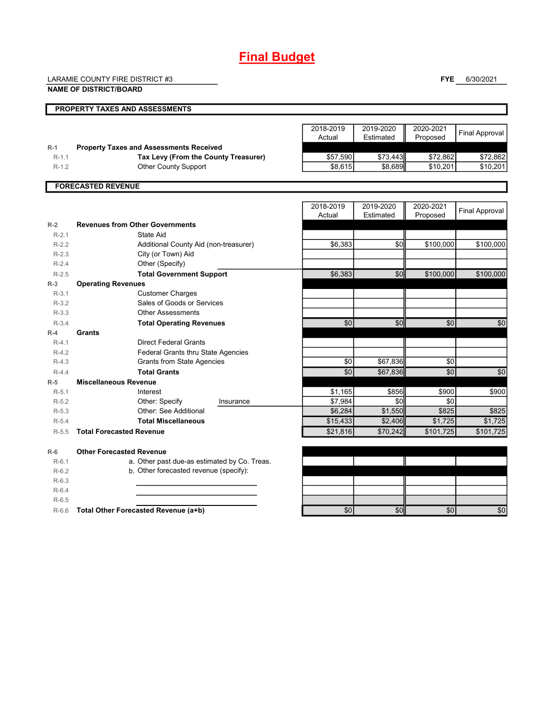## **Final Budget**

LARAMIE COUNTY FIRE DISTRICT #3

**FYE** 6/30/2021

|         | <b>NAME OF DISTRICT/BOARD</b>                  |           |           |           |                       |  |
|---------|------------------------------------------------|-----------|-----------|-----------|-----------------------|--|
|         | PROPERTY TAXES AND ASSESSMENTS                 |           |           |           |                       |  |
|         |                                                | 2018-2019 | 2019-2020 | 2020-2021 |                       |  |
|         |                                                | Actual    | Estimated | Proposed  | <b>Final Approval</b> |  |
| $R-1$   | <b>Property Taxes and Assessments Received</b> |           |           |           |                       |  |
| $R-1.1$ | Tax Levy (From the County Treasurer)           | \$57,590  | \$73,443  | \$72,862  | \$72,862              |  |
| $R-1.2$ | <b>Other County Support</b>                    | \$8,615   | \$8.689   | \$10,201  | \$10,201              |  |
|         | <b>FORECASTED REVENUE</b>                      |           |           |           |                       |  |
|         |                                                | 2018-2019 | 2019-2020 | 2020-2021 |                       |  |
|         |                                                | Actual    | Estimated | Proposed  | <b>Final Approval</b> |  |
| $R-2$   | <b>Revenues from Other Governments</b>         |           |           |           |                       |  |
| $R-2.1$ | State Aid                                      |           |           |           |                       |  |
| $R-2.2$ | Additional County Aid (non-treasurer)          | \$6,383   | \$0       | \$100,000 | \$100,000             |  |
| $R-2.3$ | City (or Town) Aid                             |           |           |           |                       |  |
| $R-2.4$ | Other (Specify)                                |           |           |           |                       |  |
| $R-2.5$ | <b>Total Government Support</b>                | \$6,383   | \$0       | \$100,000 | \$100,000             |  |
| $R-3$   | <b>Operating Revenues</b>                      |           |           |           |                       |  |
| $R-3.1$ | <b>Customer Charges</b>                        |           |           |           |                       |  |
| $R-3.2$ | Sales of Goods or Services                     |           |           |           |                       |  |
| $R-3.3$ | <b>Other Assessments</b>                       |           |           |           |                       |  |
| $R-3.4$ | <b>Total Operating Revenues</b>                | \$0       | \$0       | \$0       | \$0                   |  |
| $R-4$   | Grants                                         |           |           |           |                       |  |
| $R-4.1$ | <b>Direct Federal Grants</b>                   |           |           |           |                       |  |
| $R-4.2$ | Federal Grants thru State Agencies             |           |           |           |                       |  |
| $R-4.3$ | <b>Grants from State Agencies</b>              | \$0       | \$67,836  | \$0       |                       |  |
| $R-4.4$ | <b>Total Grants</b>                            | \$0       | \$67,836  | \$0       | \$0                   |  |
| $R-5$   | <b>Miscellaneous Revenue</b>                   |           |           |           |                       |  |
| $R-5.1$ | Interest                                       | \$1,165   | \$856     | \$900     | \$900                 |  |
| $R-5.2$ | Other: Specify<br>Insurance                    | \$7,984   | \$0       | \$0       |                       |  |
| $R-5.3$ | Other: See Additional                          | \$6,284   | \$1,550   | \$825     | \$825                 |  |
| $R-5.4$ | <b>Total Miscellaneous</b>                     | \$15,433  | \$2,406   | \$1,725   | \$1,725               |  |
| $R-5.5$ | <b>Total Forecasted Revenue</b>                | \$21,816  | \$70,242  | \$101,725 | \$101,725             |  |
| $R-6$   | <b>Other Forecasted Revenue</b>                |           |           |           |                       |  |
| $R-6.1$ | a. Other past due-as estimated by Co. Treas.   |           |           |           |                       |  |

| .       | $\alpha$ . Other pack and ac commated by Oc. Hous. |           |     |                  |     |
|---------|----------------------------------------------------|-----------|-----|------------------|-----|
| $R-6.2$ | b. Other forecasted revenue (specify):             |           |     |                  |     |
| $R-6.3$ |                                                    |           |     |                  |     |
| $R-6.4$ |                                                    |           |     |                  |     |
| $R-6.5$ |                                                    |           |     |                  |     |
| $R-6.6$ | Total Other Forecasted Revenue (a+b)               | <b>SO</b> | \$0 | \$0 <sub>l</sub> | \$0 |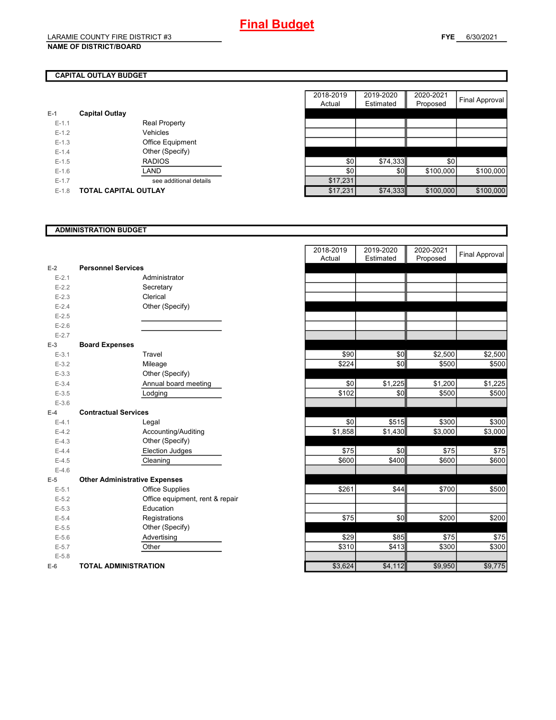#### **NAME OF DISTRICT/BOARD**

#### **FYE** 6/30/2021

## **CAPITAL OUTLAY BUDGET**

| $E-1$     | <b>Capital Outlay</b>       |          |
|-----------|-----------------------------|----------|
| $E - 1.1$ | <b>Real Property</b>        |          |
| $E - 1.2$ | Vehicles                    |          |
| $E-1.3$   | <b>Office Equipment</b>     |          |
| $E - 1.4$ | Other (Specify)             |          |
| $E - 1.5$ | <b>RADIOS</b>               | \$0      |
| $E-1.6$   | LAND                        | \$0      |
| $E - 1.7$ | see additional details      | \$17,231 |
| $E - 1.8$ | <b>TOTAL CAPITAL OUTLAY</b> | \$17.231 |

|         |                             |                        | 2018-2019 | 2019-2020 | 2020-2021 |                |
|---------|-----------------------------|------------------------|-----------|-----------|-----------|----------------|
|         |                             |                        | Actual    | Estimated | Proposed  | Final Approval |
|         | <b>Capital Outlay</b>       |                        |           |           |           |                |
| $E-1.1$ |                             | <b>Real Property</b>   |           |           |           |                |
| $E-1.2$ |                             | Vehicles               |           |           |           |                |
| $E-1.3$ |                             | Office Equipment       |           |           |           |                |
| $E-1.4$ |                             | Other (Specify)        |           |           |           |                |
| $E-1.5$ |                             | <b>RADIOS</b>          | \$0       | \$74,333  | \$0       |                |
| $E-1.6$ |                             | LAND                   | \$0       | \$0       | \$100,000 | \$100,000      |
| $E-1.7$ |                             | see additional details | \$17,231  |           |           |                |
| $E-1.8$ | <b>TOTAL CAPITAL OUTLAY</b> |                        | \$17,231  | \$74,333  | \$100,000 | \$100,000      |

#### **ADMINISTRATION BUDGET**

| $E-2$     | <b>Personnel Services</b>            |
|-----------|--------------------------------------|
| $E - 2.1$ | Administrator                        |
| $E-2.2$   | Secretary                            |
| $E - 2.3$ | Clerical                             |
| $E - 2.4$ | Other (Specify)                      |
| $E - 2.5$ |                                      |
| $E-2.6$   |                                      |
| $E - 2.7$ |                                      |
| $E-3$     | <b>Board Expenses</b>                |
| $E - 3.1$ | Travel                               |
| $E - 3.2$ | Mileage                              |
| $E - 3.3$ | Other (Specify)                      |
| $E - 3.4$ | Annual board meeting                 |
| $E - 3.5$ | Lodging                              |
| $E - 3.6$ |                                      |
| $E-4$     | <b>Contractual Services</b>          |
| $E - 4.1$ | Legal                                |
| $E - 4.2$ | Accounting/Auditing                  |
| $E-4.3$   | Other (Specify)                      |
| $E-4.4$   | Election Judges                      |
| $E-4.5$   | Cleaning                             |
| $E-4.6$   |                                      |
| F-5       | <b>Other Administrative Expenses</b> |
| $E - 5.1$ | <b>Office Supplies</b>               |
| $E - 5.2$ | Office equipment, rent & repair      |
| $E - 5.3$ | Education                            |
| $E - 5.4$ | Registrations                        |
| $E - 5.5$ | Other (Specify)                      |
| $E - 5.6$ | Advertising                          |
| $E - 5.7$ | Other                                |
| $E - 5.8$ |                                      |
| E-6       | <b>TOTAL ADMINISTRATION</b>          |

|           |                                      | 2018-2019<br>Actual | 2019-2020<br>Estimated | 2020-2021<br>Proposed | <b>Final Approval</b> |
|-----------|--------------------------------------|---------------------|------------------------|-----------------------|-----------------------|
| 2         | <b>Personnel Services</b>            |                     |                        |                       |                       |
| $E - 2.1$ | Administrator                        |                     |                        |                       |                       |
| $E - 2.2$ | Secretary                            |                     |                        |                       |                       |
| $E - 2.3$ | Clerical                             |                     |                        |                       |                       |
| $E - 2.4$ | Other (Specify)                      |                     |                        |                       |                       |
| $E - 2.5$ |                                      |                     |                        |                       |                       |
| $E - 2.6$ |                                      |                     |                        |                       |                       |
| $E - 2.7$ |                                      |                     |                        |                       |                       |
| 3         | <b>Board Expenses</b>                |                     |                        |                       |                       |
| $E - 3.1$ | Travel                               | \$90                | \$0                    | \$2,500               | \$2,500               |
| $E - 3.2$ | Mileage                              | \$224               | \$0                    | \$500                 | \$500                 |
| $E - 3.3$ | Other (Specify)                      |                     |                        |                       |                       |
| $E - 3.4$ | Annual board meeting                 | \$0                 | \$1,225                | \$1,200               | \$1,225               |
| $E - 3.5$ | Lodging                              | \$102               | \$0                    | \$500                 | \$500                 |
| $E - 3.6$ |                                      |                     |                        |                       |                       |
| Ļ.        | <b>Contractual Services</b>          |                     |                        |                       |                       |
| $E - 4.1$ | Legal                                | \$0                 | \$515                  | \$300                 | \$300                 |
| $E-4.2$   | Accounting/Auditing                  | \$1,858             | \$1,430                | \$3,000               | \$3,000               |
| $E - 4.3$ | Other (Specify)                      |                     |                        |                       |                       |
| $E - 4.4$ | <b>Election Judges</b>               | \$75                | \$0                    | \$75                  | \$75                  |
| $E-4.5$   | Cleaning                             | \$600               | \$400                  | \$600                 | \$600                 |
| $E - 4.6$ |                                      |                     |                        |                       |                       |
| 5         | <b>Other Administrative Expenses</b> |                     |                        |                       |                       |
| $E - 5.1$ | <b>Office Supplies</b>               | \$261               | \$44                   | \$700                 | \$500                 |
| $E - 5.2$ | Office equipment, rent & repair      |                     |                        |                       |                       |
| $E - 5.3$ | Education                            |                     |                        |                       |                       |
| $E - 5.4$ | Registrations                        | \$75                | \$0                    | \$200                 | \$200                 |
| $E - 5.5$ | Other (Specify)                      |                     |                        |                       |                       |
| $E - 5.6$ | Advertising                          | \$29                | \$85                   | \$75                  | \$75                  |
| $E - 5.7$ | Other                                | \$310               | \$413                  | \$300                 | \$300                 |
| $E - 5.8$ |                                      |                     |                        |                       |                       |
| î         | <b>TOTAL ADMINISTRATION</b>          | \$3,624             | \$4,112                | \$9,950               | \$9,775               |
|           |                                      |                     |                        |                       |                       |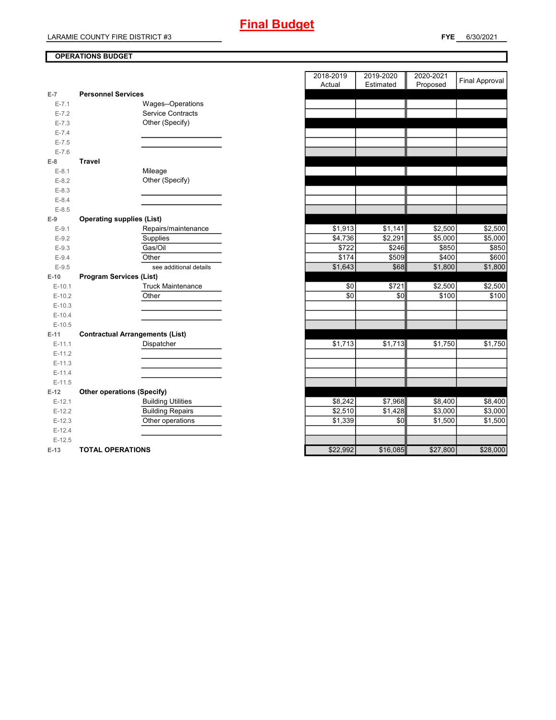#### **OPERATIONS BUDGET**

| $E-7$     | <b>Personnel Services</b>              |          |          |          |
|-----------|----------------------------------------|----------|----------|----------|
| $E - 7.1$ | Wages--Operations                      |          |          |          |
| $E - 7.2$ | <b>Service Contracts</b>               |          |          |          |
| $E - 7.3$ | Other (Specify)                        |          |          |          |
| $E - 7.4$ |                                        |          |          |          |
| $E - 7.5$ |                                        |          |          |          |
| $E - 7.6$ |                                        |          |          |          |
| $E-8$     | <b>Travel</b>                          |          |          |          |
| $E-8.1$   | Mileage                                |          |          |          |
| $E-8.2$   | Other (Specify)                        |          |          |          |
| $E-8.3$   |                                        |          |          |          |
| $E - 8.4$ |                                        |          |          |          |
| $E - 8.5$ |                                        |          |          |          |
| $E-9$     | <b>Operating supplies (List)</b>       |          |          |          |
| $E-9.1$   | Repairs/maintenance                    | \$1,913  | \$1,141  | \$2,500  |
| $E-9.2$   | Supplies                               | \$4,736  | \$2,291  | \$5,000  |
| $E-9.3$   | Gas/Oil                                | \$722    | \$246    | \$850    |
| $E - 9.4$ | Other                                  | \$174    | \$509    | \$400    |
| $E-9.5$   | see additional details                 | \$1,643  | \$68     | \$1,800  |
| $E-10$    | <b>Program Services (List)</b>         |          |          |          |
| $E-10.1$  | <b>Truck Maintenance</b>               | \$0      | \$721    | \$2,500  |
| $E-10.2$  | Other                                  | \$0      | \$0      | \$100    |
| $E-10.3$  |                                        |          |          |          |
| $E-10.4$  |                                        |          |          |          |
| $E-10.5$  |                                        |          |          |          |
| $E-11$    | <b>Contractual Arrangements (List)</b> |          |          |          |
| $E-11.1$  | Dispatcher                             | \$1,713  | \$1,713  | \$1,750  |
| $E-11.2$  |                                        |          |          |          |
| $E-11.3$  |                                        |          |          |          |
| $E-11.4$  |                                        |          |          |          |
| $E-11.5$  |                                        |          |          |          |
| $E-12$    | <b>Other operations (Specify)</b>      |          |          |          |
| $E-12.1$  | <b>Building Utilities</b>              | \$8,242  | \$7,968  | \$8,400  |
| $E-12.2$  | <b>Building Repairs</b>                | \$2,510  | \$1,428  | \$3,000  |
| $E-12.3$  | Other operations                       | \$1,339  | \$0      | \$1,500  |
| $E-12.4$  |                                        |          |          |          |
| $E-12.5$  |                                        |          |          |          |
| $E-13$    | <b>TOTAL OPERATIONS</b>                | \$22,992 | \$16,085 | \$27,800 |

|                |                                        | 2018-2019 | 2019-2020 | 2020-2021 |                       |
|----------------|----------------------------------------|-----------|-----------|-----------|-----------------------|
|                |                                        | Actual    | Estimated | Proposed  | <b>Final Approval</b> |
| $\overline{7}$ | <b>Personnel Services</b>              |           |           |           |                       |
| $E - 7.1$      | Wages--Operations                      |           |           |           |                       |
| $E - 7.2$      | <b>Service Contracts</b>               |           |           |           |                       |
| $E - 7.3$      | Other (Specify)                        |           |           |           |                       |
| $E - 7.4$      |                                        |           |           |           |                       |
| $E - 7.5$      |                                        |           |           |           |                       |
| $E - 7.6$      |                                        |           |           |           |                       |
| 8              | Travel                                 |           |           |           |                       |
| $E-8.1$        | Mileage                                |           |           |           |                       |
| $E-8.2$        | Other (Specify)                        |           |           |           |                       |
| $E - 8.3$      |                                        |           |           |           |                       |
| $E - 8.4$      |                                        |           |           |           |                       |
| $E - 8.5$      |                                        |           |           |           |                       |
| 9              | <b>Operating supplies (List)</b>       |           |           |           |                       |
| $E-9.1$        | Repairs/maintenance                    | \$1,913   | \$1,141   | \$2,500   | \$2,500               |
| $E - 9.2$      | Supplies                               | \$4,736   | \$2,291   | \$5,000   | \$5,000               |
| $E-9.3$        | Gas/Oil                                | \$722     | \$246     | \$850     | \$850                 |
| $E - 9.4$      | Other                                  | \$174     | \$509     | \$400     | \$600                 |
| $E-9.5$        | see additional details                 | \$1,643   | \$68      | \$1,800   | \$1,800               |
| 10             | <b>Program Services (List)</b>         |           |           |           |                       |
| $E-10.1$       | <b>Truck Maintenance</b>               | \$0       | \$721     | \$2,500   | \$2,500               |
| $E-10.2$       | Other                                  | \$0       | \$0       | \$100     | \$100                 |
| $E-10.3$       |                                        |           |           |           |                       |
| $E-10.4$       |                                        |           |           |           |                       |
| $E-10.5$       |                                        |           |           |           |                       |
| 11             | <b>Contractual Arrangements (List)</b> |           |           |           |                       |
| $E-11.1$       | Dispatcher                             | \$1,713   | \$1,713   | \$1,750   | \$1,750               |
| $E-11.2$       |                                        |           |           |           |                       |
| $E-11.3$       |                                        |           |           |           |                       |
| $E-11.4$       |                                        |           |           |           |                       |
| $E-11.5$       |                                        |           |           |           |                       |
| 12             | <b>Other operations (Specify)</b>      |           |           |           |                       |
| $E-12.1$       | <b>Building Utilities</b>              | \$8,242   | \$7,968   | \$8,400   | \$8,400               |
| $E-12.2$       | <b>Building Repairs</b>                | \$2,510   | \$1,428   | \$3,000   | \$3,000               |
| $E-12.3$       | Other operations                       | \$1,339   | \$0       | \$1,500   | \$1,500               |
| $E-12.4$       |                                        |           |           |           |                       |
| $E-12.5$       |                                        |           |           |           |                       |
| $13 -$         | <b>TOTAL OPERATIONS</b>                | \$22992   | \$16,085  | \$27,800  | \$28,000              |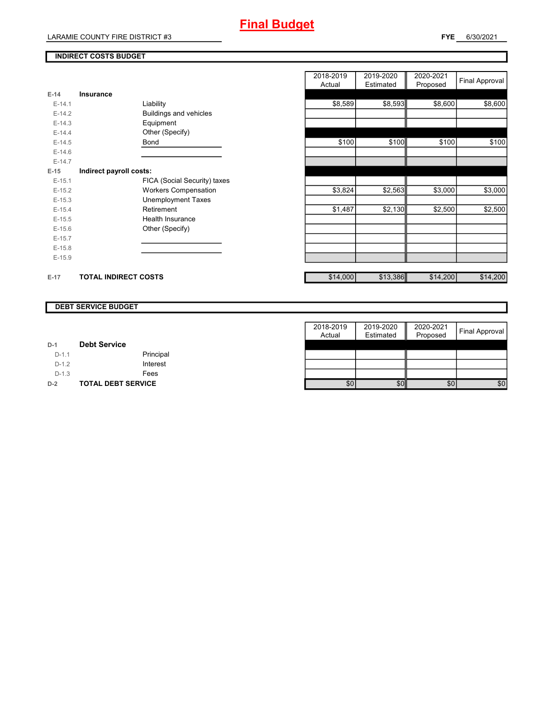#### **INDIRECT COSTS BUDGET**

| E-14     | Insurance                     |
|----------|-------------------------------|
| $F-14.1$ | Liability                     |
| $E-14.2$ | <b>Buildings and vehicles</b> |
| $F-14.3$ | Equipment                     |
| $F-144$  | Other (Specify)               |
| $E-14.5$ | <b>Bond</b>                   |
| $F-146$  |                               |
| $E-14.7$ |                               |
| $E-15$   | Indirect payroll costs:       |
| $F-151$  | FICA (Social Security) taxes  |
| $E-15.2$ | <b>Workers Compensation</b>   |
| $E-15.3$ | Unemployment Taxes            |
| $F-154$  | Retirement                    |
| $E-15.5$ | Health Insurance              |
| $E-15.6$ | Other (Specify)               |
| $E-15.7$ |                               |
| $E-15.8$ |                               |
| $E-15.9$ |                               |
|          |                               |
| $E-17$   | <b>TOTAL INDIRECT COSTS</b>   |

|          |                              | 2018-2019 | 2019-2020 | 2020-2021 | Final Approval |
|----------|------------------------------|-----------|-----------|-----------|----------------|
|          |                              | Actual    | Estimated | Proposed  |                |
| 14       | <b>Insurance</b>             |           |           |           |                |
| $E-14.1$ | Liability                    | \$8,589   | \$8,593   | \$8,600   | \$8,600        |
| $E-14.2$ | Buildings and vehicles       |           |           |           |                |
| $E-14.3$ | Equipment                    |           |           |           |                |
| $E-14.4$ | Other (Specify)              |           |           |           |                |
| $E-14.5$ | Bond                         | \$100     | \$100     | \$100     | \$100          |
| $E-14.6$ |                              |           |           |           |                |
| $E-14.7$ |                              |           |           |           |                |
| 15       | Indirect payroll costs:      |           |           |           |                |
| $E-15.1$ | FICA (Social Security) taxes |           |           |           |                |
| $E-15.2$ | <b>Workers Compensation</b>  | \$3,824   | \$2,563   | \$3,000   | \$3,000        |
| $E-15.3$ | <b>Unemployment Taxes</b>    |           |           |           |                |
| $E-15.4$ | Retirement                   | \$1,487   | \$2,130   | \$2,500   | \$2,500        |
| $E-15.5$ | Health Insurance             |           |           |           |                |
| $E-15.6$ | Other (Specify)              |           |           |           |                |
| $E-15.7$ |                              |           |           |           |                |
| $E-15.8$ |                              |           |           |           |                |
| $E-15.9$ |                              |           |           |           |                |
|          |                              |           |           |           |                |
| 17       | <b>TOTAL INDIRECT COSTS</b>  | \$14,000  | \$13,386  | \$14,200  | \$14,200       |

#### **DEBT SERVICE BUDGET**

|         |                           | 2018-2019 | 2019-2020 | 2020-2021 |                |
|---------|---------------------------|-----------|-----------|-----------|----------------|
|         |                           | Actual    | Estimated | Proposed  | Final Approval |
| $D-1$   | <b>Debt Service</b>       |           |           |           |                |
| $D-1.1$ | Principal                 |           |           |           |                |
| $D-1.2$ | Interest                  |           |           |           |                |
| $D-1.3$ | Fees                      |           |           |           |                |
| $D-2$   | <b>TOTAL DEBT SERVICE</b> | \$0       | \$0       | \$0       | \$0            |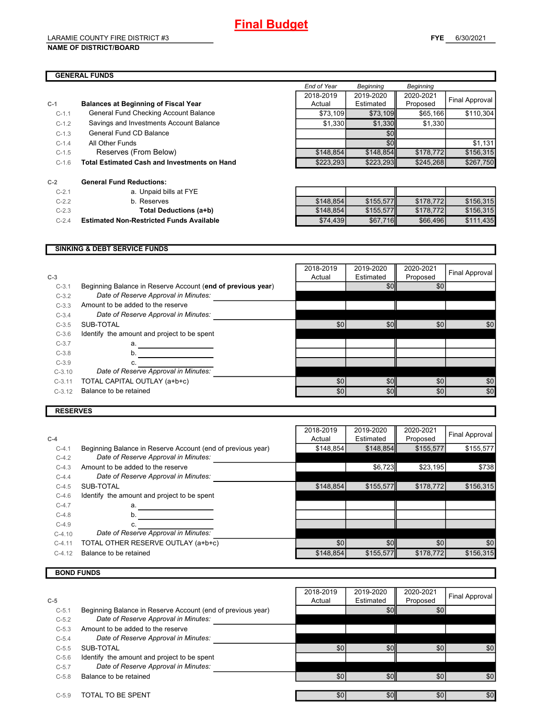#### LARAMIE COUNTY FIRE DISTRICT #3 **NAME OF DISTRICT/BOARD**

|         |                                                     | End of Year | Beginning | Beginning |                |
|---------|-----------------------------------------------------|-------------|-----------|-----------|----------------|
|         |                                                     | 2018-2019   | 2019-2020 | 2020-2021 |                |
| $C-1$   | <b>Balances at Beginning of Fiscal Year</b>         | Actual      | Estimated | Proposed  | Final Approval |
| $C-1.1$ | General Fund Checking Account Balance               | \$73,109    | \$73,109  | \$65,166  | \$110,304      |
| $C-1.2$ | Savings and Investments Account Balance             | \$1,330     | \$1,330   | \$1,330   |                |
| $C-1.3$ | General Fund CD Balance                             |             | \$0       |           |                |
| $C-1.4$ | All Other Funds                                     |             | \$0       |           | \$1,131        |
| $C-1.5$ | Reserves (From Below)                               | \$148,854   | \$148,854 | \$178,772 | \$156,315      |
| $C-1.6$ | <b>Total Estimated Cash and Investments on Hand</b> | \$223,293   | \$223,293 | \$245,268 | \$267,750      |
| C-2     | <b>General Fund Reductions:</b>                     |             |           |           |                |
| $C-2.1$ | a. Unpaid bills at FYE                              |             |           |           |                |

| $C-2.2$ | b. Reserves |
|---------|-------------|

- 
- 

C-2.2 b. Reserves \$148,854 \$155,577 \$178,772 \$156,315 C-2.3 **Total Deductions (a+b)** \$148,854 \$155,577 \$178,772 \$156,315 C-2.4 **Estimated Non-Restricted Funds Available** \$74,439 \$67,716 \$66,496 \$111,435

#### **SINKING & DEBT SERVICE FUNDS**

| $C-3$    |                                                             | 2018-2019<br>Actual | 2019-2020<br>Estimated | 2020-2021<br>Proposed | Final Approval |
|----------|-------------------------------------------------------------|---------------------|------------------------|-----------------------|----------------|
| $C-3.1$  | Beginning Balance in Reserve Account (end of previous year) |                     | \$0                    | \$0                   |                |
| $C-3.2$  | Date of Reserve Approval in Minutes:                        |                     |                        |                       |                |
| $C-3.3$  | Amount to be added to the reserve                           |                     |                        |                       |                |
| $C-3.4$  | Date of Reserve Approval in Minutes:                        |                     |                        |                       |                |
| $C-3.5$  | SUB-TOTAL                                                   | \$0                 | \$0                    | \$0                   | \$0            |
| $C-3.6$  | Identify the amount and project to be spent                 |                     |                        |                       |                |
| $C-3.7$  | a.                                                          |                     |                        |                       |                |
| $C-3.8$  | b.                                                          |                     |                        |                       |                |
| $C-3.9$  | C.                                                          |                     |                        |                       |                |
| $C-3.10$ | Date of Reserve Approval in Minutes:                        |                     |                        |                       |                |
| $C-3.11$ | TOTAL CAPITAL OUTLAY (a+b+c)                                | \$0                 | \$0                    | \$0                   | \$0            |
| $C-3.12$ | Balance to be retained                                      | \$0                 | \$0                    | \$0                   | \$0            |
|          |                                                             |                     |                        |                       |                |

#### **RESERVES**

|          |                                                             | 2018-2019 | 2019-2020 | 2020-2021 | <b>Final Approval</b> |
|----------|-------------------------------------------------------------|-----------|-----------|-----------|-----------------------|
| $C-4$    |                                                             | Actual    | Estimated | Proposed  |                       |
| $C-4.1$  | Beginning Balance in Reserve Account (end of previous year) | \$148,854 | \$148,854 | \$155,577 | \$155,577             |
| $C-4.2$  | Date of Reserve Approval in Minutes:                        |           |           |           |                       |
| $C-4.3$  | Amount to be added to the reserve                           |           | \$6,723   | \$23,195  | \$738                 |
| $C-4.4$  | Date of Reserve Approval in Minutes:                        |           |           |           |                       |
| $C-4.5$  | SUB-TOTAL                                                   | \$148.854 | \$155,577 | \$178,772 | \$156.315             |
| $C-4.6$  | Identify the amount and project to be spent                 |           |           |           |                       |
| $C-4.7$  | а.                                                          |           |           |           |                       |
| $C-4.8$  | b.                                                          |           |           |           |                       |
| $C-4.9$  | c.                                                          |           |           |           |                       |
| $C-4.10$ | Date of Reserve Approval in Minutes:                        |           |           |           |                       |
| $C-4.11$ | TOTAL OTHER RESERVE OUTLAY (a+b+c)                          | \$0       | \$0       | \$0       | \$0                   |
| $C-4.12$ | Balance to be retained                                      | \$148,854 | \$155,577 | \$178,772 | \$156,315             |
|          |                                                             |           |           |           |                       |

### **BOND FUNDS**

|         |                                                             | 2018-2019 | 2019-2020        | 2020-2021 |                |
|---------|-------------------------------------------------------------|-----------|------------------|-----------|----------------|
| $C-5$   |                                                             | Actual    | Estimated        | Proposed  | Final Approval |
| $C-5.1$ | Beginning Balance in Reserve Account (end of previous year) |           | \$0              | \$0       |                |
| $C-5.2$ | Date of Reserve Approval in Minutes:                        |           |                  |           |                |
| $C-5.3$ | Amount to be added to the reserve                           |           |                  |           |                |
| $C-5.4$ | Date of Reserve Approval in Minutes:                        |           |                  |           |                |
| $C-5.5$ | SUB-TOTAL                                                   | \$0       | \$0              | \$0       | \$0            |
| $C-5.6$ | Identify the amount and project to be spent                 |           |                  |           |                |
| $C-5.7$ | Date of Reserve Approval in Minutes:                        |           |                  |           |                |
| $C-5.8$ | Balance to be retained                                      | \$0       | \$0 <sub>l</sub> | \$0       | \$0            |
|         |                                                             |           |                  |           |                |
| $C-5.9$ | TOTAL TO BE SPENT                                           | \$0       | \$0              | \$0       | \$0            |